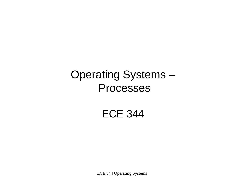## Operating Systems – Processes

#### ECE 344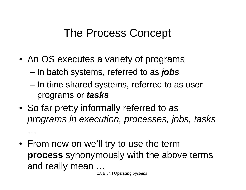### The Process Concept

• An OS executes a variety of programs

…

- –In batch systems, referred to as *jobs*
- – In time shared systems, referred to as user programs or *tasks*
- So far pretty informally referred to as *programs in execution, processes, jobs, tasks*
- From now on we'll try to use the term **process** synonymously with the above terms and really mean …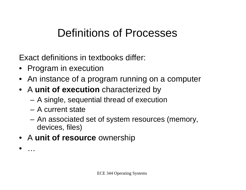## Definitions of Processes

Exact definitions in textbooks differ:

- Program in execution
- An instance of a program running on a computer
- A **unit of execution** characterized by
	- –A single, sequential thread of execution
	- A current state
	- An associated set of system resources (memory, devices, files)
- A **unit of resource** ownership
- •…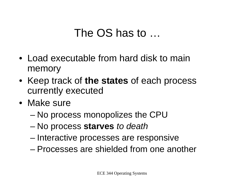## The OS has to …

- Load executable from hard disk to main memory
- Keep track of **the states** of each process currently executed
- Make sure
	- –No process monopolizes the CPU
	- –No process **starves** *to death*
	- Interactive processes are responsive
	- Processes are shielded from one another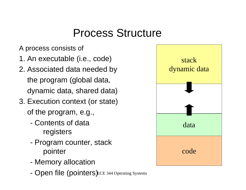## Process Structure

A process consists of

- 1. An executable (i.e., code)
- 2. Associated data needed by the program (global data, dynamic data, shared data)
- 3. Execution context (or state) of the program, e.g.,
	- Contents of data registers
	- - Program counter, stack pointer
	- -Memory allocation
	- ODEN TIIE (DOINTETS ECE 344 Operating Systems Open file (pointers)

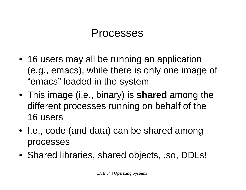#### Processes

- 16 users may all be running an application (e.g., emacs), while there is only one image of "emacs" loaded in the system
- This image (i.e., binary) is **shared** among the different processes running on behalf of the 16 users
- I.e., code (and data) can be shared among processes
- Shared libraries, shared objects, .so, DDLs!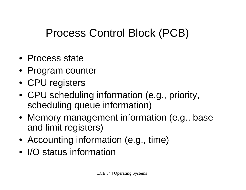# Process Control Block (PCB)

- Process state
- Program counter
- CPU registers
- CPU scheduling information (e.g., priority, scheduling queue information)
- Memory management information (e.g., base and limit registers)
- Accounting information (e.g., time)
- I/O status information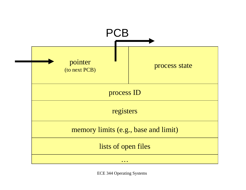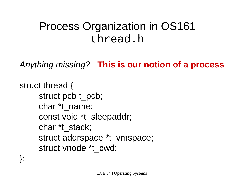## Process Organization in OS161 thread.h

*Anything missing?* **This is our notion of a process***.*

struct thread { struct pcb t\_pcb; char \*t\_name; const void \*t\_sleepaddr; char \*t\_stack; struct addrspace \*t\_vmspace; struct vnode \*t\_cwd;

};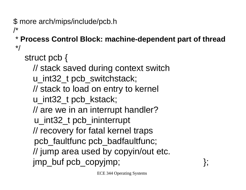/\*

\* **Process Control Block: machine-dependent part of thread** \*/

struct pcb { // stack saved during context switch u\_int32\_t pcb\_switchstack; // stack to load on entry to kernel u\_int32\_t pcb\_kstack; // are we in an interrupt handler? u\_int32\_t pcb\_ininterrupt // recovery for fatal kernel traps pcb\_faultfunc pcb\_badfaultfunc; // jump area used by copyin/out etc. jmp\_buf pcb\_copyjmp; };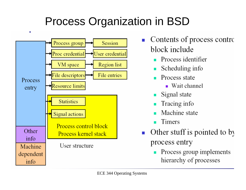# **Process Organization in BSD**



- Contents of process contro  $\mathcal{L}_{\mathcal{A}}$ block include
	- Process identifier
	- Scheduling info
	- Process state
		- $\blacksquare$  Wait channel
	- Signal state
	- Tracing info
	- Machine state
	- Timers
- Other stuff is pointed to by  $\mathcal{L}_{\mathcal{A}}$ process entry
	- Process group implements hierarchy of processes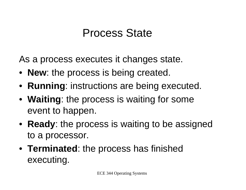#### Process State

As a process executes it changes state.

- **New**: the process is being created.
- **Running**: instructions are being executed.
- **Waiting**: the process is waiting for some event to happen.
- **Ready**: the process is waiting to be assigned to a processor.
- **Terminated**: the process has finished executing.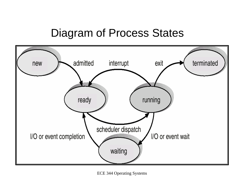#### Diagram of Process States

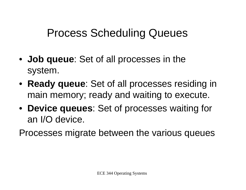## Process Scheduling Queues

- **Job queue**: Set of all processes in the system.
- **Ready queue**: Set of all processes residing in main memory; ready and waiting to execute.
- **Device queues**: Set of processes waiting for an I/O device.

Processes migrate between the various queues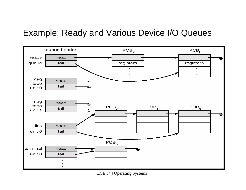#### Example: Ready and Various Device I/O Queues



**ECE 344 Operating Systems**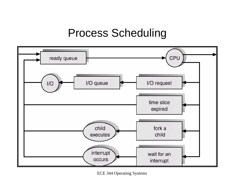#### Process Scheduling



ECE 344 Operating Systems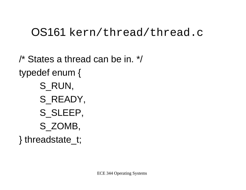#### OS161 kern/thread/thread.c

 $\prime^*$  States a thread can be in.  $\prime\prime$ typedef enum { S RUN. S READY, S SLEEP, S\_ZOMB, } threadstate\_t;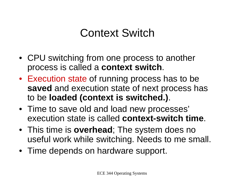## Context Switch

- CPU switching from one process to another process is called a **context switch**.
- Execution state of running process has to be **saved** and execution state of next process has to be **loaded (context is switched.)**.
- Time to save old and load new processes' execution state is called **context-switch time**.
- This time is **overhead**; The system does no useful work while switching. Needs to me small.
- Time depends on hardware support.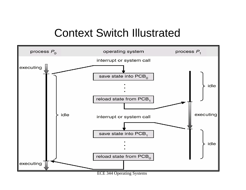#### Context Switch Illustrated



ECE 344 Operating Systems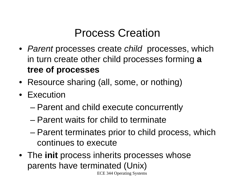## Process Creation

- *Parent* processes create *child* processes, which in turn create other child processes forming **<sup>a</sup> tree of processes**
- Resource sharing (all, some, or nothing)
- Execution
	- –Parent and child execute concurrently
	- Parent waits for child to terminate
	- Parent terminates prior to child process, which continues to execute
- The **init** process inherits processes whose parents have terminated (Unix)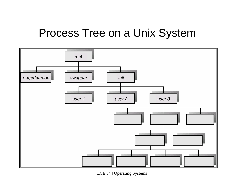#### Process Tree on a Unix System



ECE 344 Operating Systems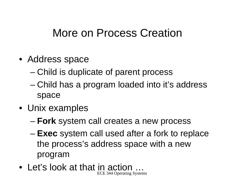## More on Process Creation

- Address space
	- –Child is duplicate of parent process
	- – Child has a program loaded into it's address space
- Unix examples
	- **Fork** system call creates a new process
	- – **Exec** system call used after a fork to replace the process's address space with a new program
- ECE 344 Operating Systems • Let's look at that in action …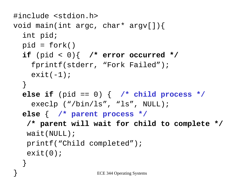```
ECE 344 Operating Systems
#include <stdion.h>
void main(int argc, char* argv[]){
  int pid;
  pid = fork()if (pid < 0){ /* error occurred */
    fprintf(stderr, "Fork Failed");
    exit(-1);}
  else if (pid == 0) { /* child process */
    execlp ("/bin/ls", "ls", NULL);
  else { /* parent process */
   /* parent will wait for child to complete */
   wait(NULL);
   printf("Child completed");
   exit(0);
  }
}<br>}
```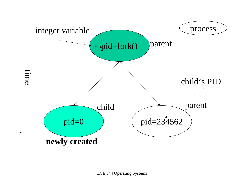